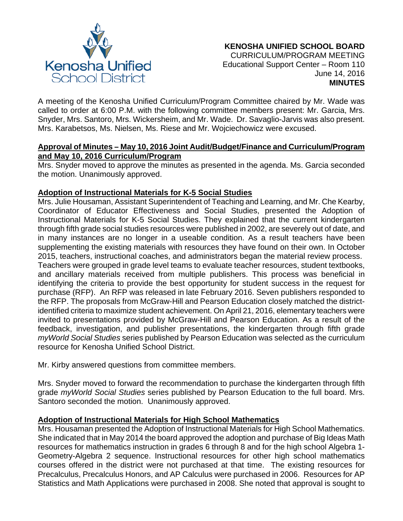

A meeting of the Kenosha Unified Curriculum/Program Committee chaired by Mr. Wade was called to order at 6:00 P.M. with the following committee members present: Mr. Garcia, Mrs. Snyder, Mrs. Santoro, Mrs. Wickersheim, and Mr. Wade. Dr. Savaglio-Jarvis was also present. Mrs. Karabetsos, Ms. Nielsen, Ms. Riese and Mr. Wojciechowicz were excused.

## **Approval of Minutes – May 10, 2016 Joint Audit/Budget/Finance and Curriculum/Program and May 10, 2016 Curriculum/Program**

Mrs. Snyder moved to approve the minutes as presented in the agenda. Ms. Garcia seconded the motion. Unanimously approved.

## **Adoption of Instructional Materials for K-5 Social Studies**

Mrs. Julie Housaman, Assistant Superintendent of Teaching and Learning, and Mr. Che Kearby, Coordinator of Educator Effectiveness and Social Studies, presented the Adoption of Instructional Materials for K-5 Social Studies. They explained that the current kindergarten through fifth grade social studies resources were published in 2002, are severely out of date, and in many instances are no longer in a useable condition. As a result teachers have been supplementing the existing materials with resources they have found on their own. In October 2015, teachers, instructional coaches, and administrators began the material review process. Teachers were grouped in grade level teams to evaluate teacher resources, student textbooks, and ancillary materials received from multiple publishers. This process was beneficial in identifying the criteria to provide the best opportunity for student success in the request for purchase (RFP). An RFP was released in late February 2016. Seven publishers responded to the RFP. The proposals from McGraw-Hill and Pearson Education closely matched the districtidentified criteria to maximize student achievement. On April 21, 2016, elementary teachers were invited to presentations provided by McGraw-Hill and Pearson Education. As a result of the feedback, investigation, and publisher presentations, the kindergarten through fifth grade *myWorld Social Studies* series published by Pearson Education was selected as the curriculum resource for Kenosha Unified School District.

Mr. Kirby answered questions from committee members.

Mrs. Snyder moved to forward the recommendation to purchase the kindergarten through fifth grade *myWorld Social Studies* series published by Pearson Education to the full board. Mrs. Santoro seconded the motion. Unanimously approved.

## **Adoption of Instructional Materials for High School Mathematics**

Mrs. Housaman presented the Adoption of Instructional Materials for High School Mathematics. She indicated that in May 2014 the board approved the adoption and purchase of Big Ideas Math resources for mathematics instruction in grades 6 through 8 and for the high school Algebra 1- Geometry-Algebra 2 sequence. Instructional resources for other high school mathematics courses offered in the district were not purchased at that time. The existing resources for Precalculus, Precalculus Honors, and AP Calculus were purchased in 2006. Resources for AP Statistics and Math Applications were purchased in 2008. She noted that approval is sought to